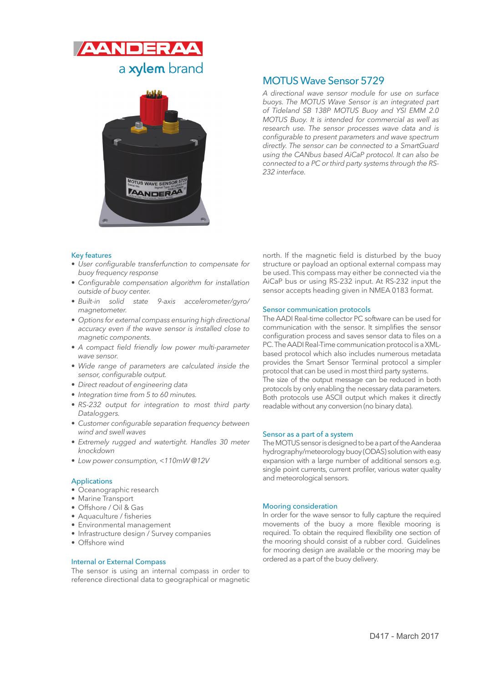



# MOTUS Wave Sensor 5729

A directional wave sensor module for use on surface buoys. The MOTUS Wave Sensor is an integrated part of Tideland SB 138P MOTUS Buoy and YSI EMM 2.0 MOTUS Buoy. It is intended for commercial as well as research use. The sensor processes wave data and is configurable to present parameters and wave spectrum directly. The sensor can be connected to a SmartGuard using the CANbus based AiCaP protocol. It can also be connected to a PC or third party systems through the RS-232 interface.

# Key features

- User configurable transferfunction to compensate for buoy frequency response
- Configurable compensation algorithm for installation outside of buoy center.
- Built-in solid state 9-axis accelerometer/gyro/ magnetometer.
- Options for external compass ensuring high directional accuracy even if the wave sensor is installed close to magnetic components.
- A compact field friendly low power multi-parameter wave sensor.
- Wide range of parameters are calculated inside the sensor, configurable output.
- Direct readout of engineering data
- Integration time from 5 to 60 minutes.
- RS-232 output for integration to most third party Dataloggers.
- Customer configurable separation frequency between wind and swell waves
- Extremely rugged and watertight. Handles 30 meter knockdown
- Low power consumption, <110mW @12V

## Applications

- Oceanographic research
- Marine Transport
- Offshore / Oil & Gas
- Aquaculture / fisheries
- Environmental management
- Infrastructure design / Survey companies
- Offshore wind

## Internal or External Compass

The sensor is using an internal compass in order to reference directional data to geographical or magnetic north. If the magnetic field is disturbed by the buoy structure or payload an optional external compass may be used. This compass may either be connected via the AiCaP bus or using RS-232 input. At RS-232 input the sensor accepts heading given in NMEA 0183 format.

#### Sensor communication protocols

The AADI Real-time collector PC software can be used for communication with the sensor. It simplifies the sensor configuration process and saves sensor data to files on a PC. The AADI Real-Time communication protocol is a XMLbased protocol which also includes numerous metadata provides the Smart Sensor Terminal protocol a simpler protocol that can be used in most third party systems. The size of the output message can be reduced in both protocols by only enabling the necessary data parameters. Both protocols use ASCII output which makes it directly readable without any conversion (no binary data).

#### Sensor as a part of a system

The MOTUS sensor is designed to be a part of the Aanderaa hydrography/meteorology buoy (ODAS) solution with easy expansion with a large number of additional sensors e.g. single point currents, current profiler, various water quality and meteorological sensors.

#### Mooring consideration

In order for the wave sensor to fully capture the required movements of the buoy a more flexible mooring is required. To obtain the required flexibility one section of the mooring should consist of a rubber cord. Guidelines for mooring design are available or the mooring may be ordered as a part of the buoy delivery.